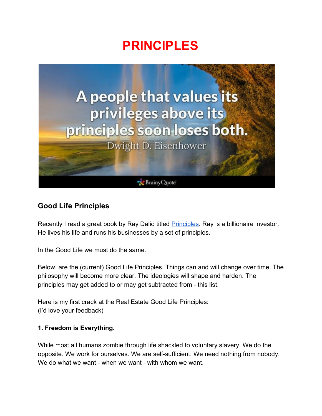# **PRINCIPLES**



# **Good Life Principles**

Recently I read a great book by Ray Dalio titled **[Principles](https://www.amazon.com/Principles-Life-Work-Ray-Dalio/dp/1501124021/ref=sr_1_1_sspa?ie=UTF8&qid=1544117969&sr=8-1-spons&keywords=principles+ray+dalio&psc=1)**. Ray is a billionaire investor. He lives his life and runs his businesses by a set of principles.

In the Good Life we must do the same.

Below, are the (current) Good Life Principles. Things can and will change over time. The philosophy will become more clear. The ideologies will shape and harden. The principles may get added to or may get subtracted from - this list.

Here is my first crack at the Real Estate Good Life Principles: (I'd love your feedback)

# **1. Freedom is Everything.**

While most all humans zombie through life shackled to voluntary slavery. We do the opposite. We work for ourselves. We are self-sufficient. We need nothing from nobody. We do what we want - when we want - with whom we want.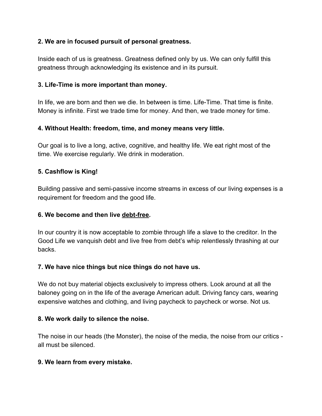# **2. We are in focused pursuit of personal greatness.**

Inside each of us is greatness. Greatness defined only by us. We can only fulfill this greatness through acknowledging its existence and in its pursuit.

# **3. Life-Time is more important than money.**

In life, we are born and then we die. In between is time. Life-Time. That time is finite. Money is infinite. First we trade time for money. And then, we trade money for time.

# **4. Without Health: freedom, time, and money means very little.**

Our goal is to live a long, active, cognitive, and healthy life. We eat right most of the time. We exercise regularly. We drink in moderation.

# **5. Cashflow is King!**

Building passive and semi-passive income streams in excess of our living expenses is a requirement for freedom and the good life.

# **6. We become and then live debt-free.**

In our country it is now acceptable to zombie through life a slave to the creditor. In the Good Life we vanquish debt and live free from debt's whip relentlessly thrashing at our backs.

# **7. We have nice things but nice things do not have us.**

We do not buy material objects exclusively to impress others. Look around at all the baloney going on in the life of the average American adult. Driving fancy cars, wearing expensive watches and clothing, and living paycheck to paycheck or worse. Not us.

# **8. We work daily to silence the noise.**

The noise in our heads (the Monster), the noise of the media, the noise from our critics all must be silenced.

# **9. We learn from every mistake.**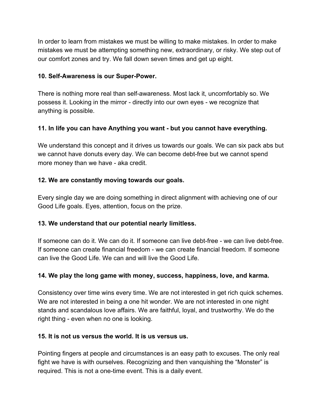In order to learn from mistakes we must be willing to make mistakes. In order to make mistakes we must be attempting something new, extraordinary, or risky. We step out of our comfort zones and try. We fall down seven times and get up eight.

# **10. Self-Awareness is our Super-Power.**

There is nothing more real than self-awareness. Most lack it, uncomfortably so. We possess it. Looking in the mirror - directly into our own eyes - we recognize that anything is possible.

# **11. In life you can have Anything you want - but you cannot have everything.**

We understand this concept and it drives us towards our goals. We can six pack abs but we cannot have donuts every day. We can become debt-free but we cannot spend more money than we have - aka credit.

# **12. We are constantly moving towards our goals.**

Every single day we are doing something in direct alignment with achieving one of our Good Life goals. Eyes, attention, focus on the prize.

# **13. We understand that our potential nearly limitless.**

If someone can do it. We can do it. If someone can live debt-free - we can live debt-free. If someone can create financial freedom - we can create financial freedom. If someone can live the Good Life. We can and will live the Good Life.

# **14. We play the long game with money, success, happiness, love, and karma.**

Consistency over time wins every time. We are not interested in get rich quick schemes. We are not interested in being a one hit wonder. We are not interested in one night stands and scandalous love affairs. We are faithful, loyal, and trustworthy. We do the right thing - even when no one is looking.

# **15. It is not us versus the world. It is us versus us.**

Pointing fingers at people and circumstances is an easy path to excuses. The only real fight we have is with ourselves. Recognizing and then vanquishing the "Monster" is required. This is not a one-time event. This is a daily event.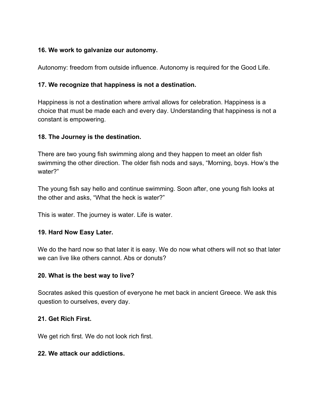# **16. We work to galvanize our autonomy.**

Autonomy: freedom from outside influence. Autonomy is required for the Good Life.

#### **17. We recognize that happiness is not a destination.**

Happiness is not a destination where arrival allows for celebration. Happiness is a choice that must be made each and every day. Understanding that happiness is not a constant is empowering.

#### **18. The Journey is the destination.**

There are two young fish swimming along and they happen to meet an older fish swimming the other direction. The older fish nods and says, "Morning, boys. How's the water?"

The young fish say hello and continue swimming. Soon after, one young fish looks at the other and asks, "What the heck is water?"

This is water. The journey is water. Life is water.

# **19. Hard Now Easy Later.**

We do the hard now so that later it is easy. We do now what others will not so that later we can live like others cannot. Abs or donuts?

# **20. What is the best way to live?**

Socrates asked this question of everyone he met back in ancient Greece. We ask this question to ourselves, every day.

#### **21. Get Rich First.**

We get rich first. We do not look rich first.

#### **22. We attack our addictions.**